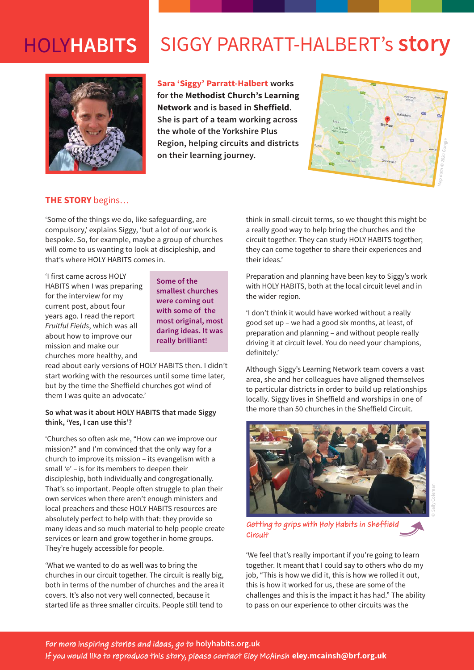# HOLY**HABITS**

# SIGGY PARRATT-HALBERT's **story**



**Sara 'Siggy' Parratt-Halbert works for the Methodist Church's Learning Network and is based in Sheffield. She is part of a team working across the whole of the Yorkshire Plus Region, helping circuits and districts on their learning journey.**



## **THE STORY** begins…

'Some of the things we do, like safeguarding, are compulsory,' explains Siggy, 'but a lot of our work is bespoke. So, for example, maybe a group of churches will come to us wanting to look at discipleship, and that's where HOLY HABITS comes in.

'I first came across HOLY HABITS when I was preparing for the interview for my current post, about four years ago. I read the report *Fruitful Fields*, which was all about how to improve our mission and make our churches more healthy, and

**Some of the smallest churches were coming out with some of the most original, most daring ideas. It was really brilliant!**

read about early versions of HOLY HABITS then. I didn't start working with the resources until some time later, but by the time the Sheffield churches got wind of them I was quite an advocate.'

## **So what was it about HOLY HABITS that made Siggy think, 'Yes, I can use this'?**

'Churches so often ask me, "How can we improve our mission?" and I'm convinced that the only way for a church to improve its mission – its evangelism with a small 'e' – is for its members to deepen their discipleship, both individually and congregationally. That's so important. People often struggle to plan their own services when there aren't enough ministers and local preachers and these HOLY HABITS resources are absolutely perfect to help with that: they provide so many ideas and so much material to help people create services or learn and grow together in home groups. They're hugely accessible for people.

'What we wanted to do as well was to bring the churches in our circuit together. The circuit is really big, both in terms of the number of churches and the area it covers. It's also not very well connected, because it started life as three smaller circuits. People still tend to

think in small-circuit terms, so we thought this might be a really good way to help bring the churches and the circuit together. They can study HOLY HABITS together; they can come together to share their experiences and their ideas.'

Preparation and planning have been key to Siggy's work with HOLY HABITS, both at the local circuit level and in the wider region.

'I don't think it would have worked without a really good set up – we had a good six months, at least, of preparation and planning – and without people really driving it at circuit level. You do need your champions, definitely.'

Although Siggy's Learning Network team covers a vast area, she and her colleagues have aligned themselves to particular districts in order to build up relationships locally. Siggy lives in Sheffield and worships in one of the more than 50 churches in the Sheffield Circuit.



Getting to grips with Holy Habits in Sheffield **Circuit** 

'We feel that's really important if you're going to learn together. It meant that I could say to others who do my job, "This is how we did it, this is how we rolled it out, this is how it worked for us, these are some of the challenges and this is the impact it has had." The ability to pass on our experience to other circuits was the